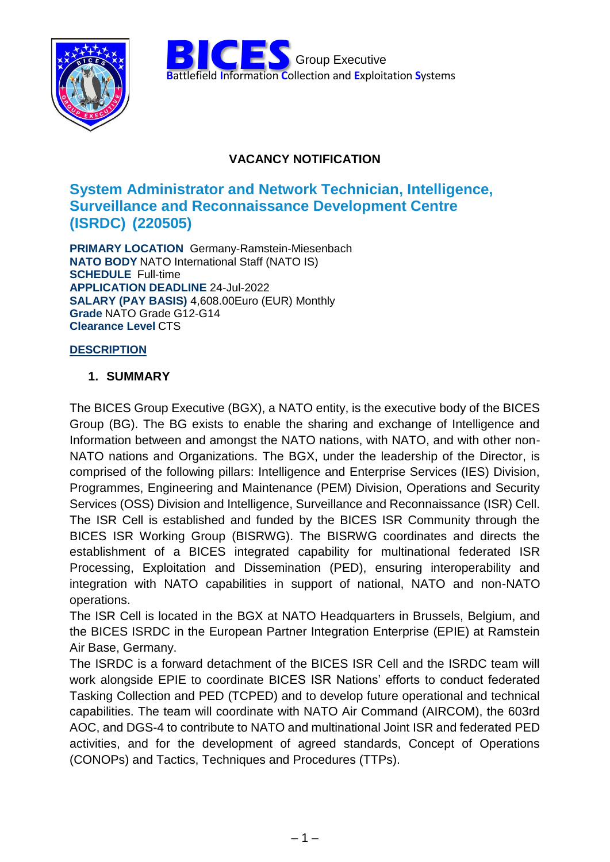



## **VACANCY NOTIFICATION**

# System Administrator and Network Technician, Intelligence, **Surveillance and Reconnaissance Development Centre** (ISRDC) (220505)

**PRIMARY LOCATION** Germany-Ramstein-Miesenbach **NATO BODY NATO International Staff (NATO IS) SCHEDULE Full-time APPLICATION DEADLINE 24-Jul-2022** SALARY (PAY BASIS) 4,608.00Euro (EUR) Monthly Grade NATO Grade G12-G14 **Clearance Level CTS** 

### **DESCRIPTION**

#### 1. SUMMARY

The BICES Group Executive (BGX), a NATO entity, is the executive body of the BICES Group (BG). The BG exists to enable the sharing and exchange of Intelligence and Information between and amongst the NATO nations, with NATO, and with other non-NATO nations and Organizations. The BGX, under the leadership of the Director, is comprised of the following pillars: Intelligence and Enterprise Services (IES) Division, Programmes, Engineering and Maintenance (PEM) Division, Operations and Security Services (OSS) Division and Intelligence, Surveillance and Reconnaissance (ISR) Cell. The ISR Cell is established and funded by the BICES ISR Community through the BICES ISR Working Group (BISRWG). The BISRWG coordinates and directs the establishment of a BICES integrated capability for multinational federated ISR Processing, Exploitation and Dissemination (PED), ensuring interoperability and integration with NATO capabilities in support of national, NATO and non-NATO operations.

The ISR Cell is located in the BGX at NATO Headquarters in Brussels, Belgium, and the BICES ISRDC in the European Partner Integration Enterprise (EPIE) at Ramstein Air Base, Germany.

The ISRDC is a forward detachment of the BICES ISR Cell and the ISRDC team will work alongside EPIE to coordinate BICES ISR Nations' efforts to conduct federated Tasking Collection and PED (TCPED) and to develop future operational and technical capabilities. The team will coordinate with NATO Air Command (AIRCOM), the 603rd AOC, and DGS-4 to contribute to NATO and multinational Joint ISR and federated PED activities, and for the development of agreed standards, Concept of Operations (CONOPs) and Tactics, Techniques and Procedures (TTPs).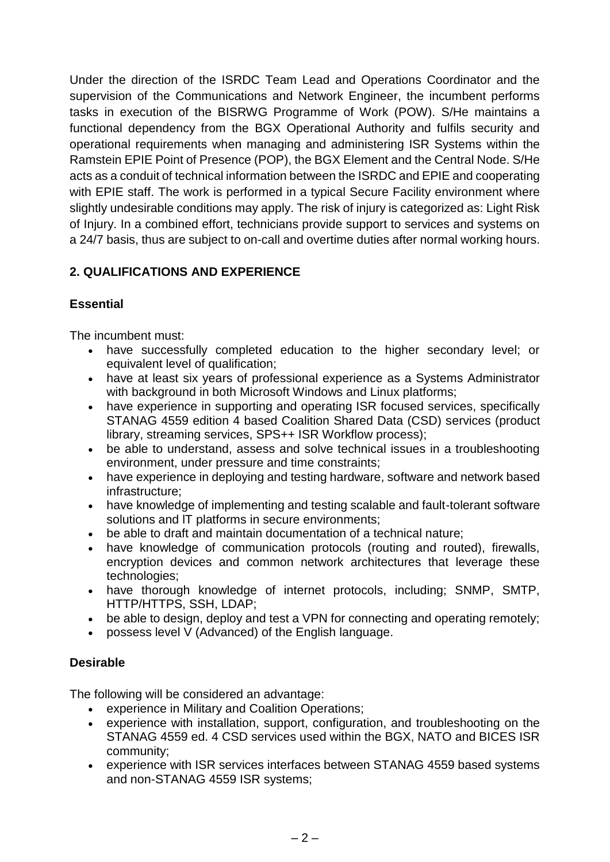Under the direction of the ISRDC Team Lead and Operations Coordinator and the supervision of the Communications and Network Engineer, the incumbent performs tasks in execution of the BISRWG Programme of Work (POW). S/He maintains a functional dependency from the BGX Operational Authority and fulfils security and operational requirements when managing and administering ISR Systems within the Ramstein EPIE Point of Presence (POP), the BGX Element and the Central Node. S/He acts as a conduit of technical information between the ISRDC and EPIE and cooperating with EPIE staff. The work is performed in a typical Secure Facility environment where slightly undesirable conditions may apply. The risk of injury is categorized as: Light Risk of Injury. In a combined effort, technicians provide support to services and systems on a 24/7 basis, thus are subject to on-call and overtime duties after normal working hours.

## **2. QUALIFICATIONS AND EXPERIENCE**

## **Essential**

The incumbent must:

- have successfully completed education to the higher secondary level; or equivalent level of qualification;
- have at least six years of professional experience as a Systems Administrator with background in both Microsoft Windows and Linux platforms;
- have experience in supporting and operating ISR focused services, specifically STANAG 4559 edition 4 based Coalition Shared Data (CSD) services (product library, streaming services, SPS++ ISR Workflow process);
- be able to understand, assess and solve technical issues in a troubleshooting environment, under pressure and time constraints;
- have experience in deploying and testing hardware, software and network based infrastructure;
- have knowledge of implementing and testing scalable and fault-tolerant software solutions and lT platforms in secure environments;
- be able to draft and maintain documentation of a technical nature;
- have knowledge of communication protocols (routing and routed), firewalls, encryption devices and common network architectures that leverage these technologies;
- have thorough knowledge of internet protocols, including; SNMP, SMTP, HTTP/HTTPS, SSH, LDAP;
- be able to design, deploy and test a VPN for connecting and operating remotely;
- possess level V (Advanced) of the English language.

## **Desirable**

The following will be considered an advantage:

- experience in Military and Coalition Operations;
- experience with installation, support, configuration, and troubleshooting on the STANAG 4559 ed. 4 CSD services used within the BGX, NATO and BICES ISR community;
- experience with ISR services interfaces between STANAG 4559 based systems and non-STANAG 4559 ISR systems;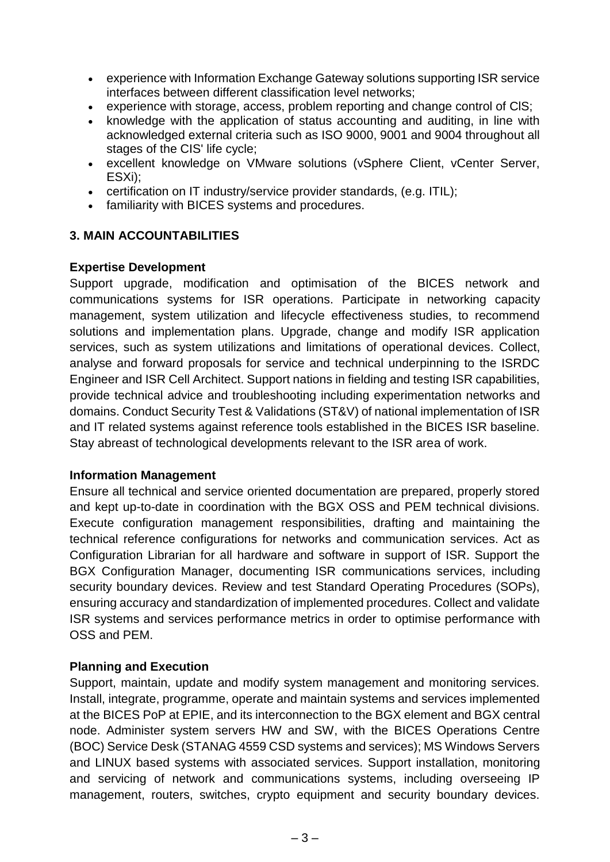- experience with Information Exchange Gateway solutions supporting ISR service interfaces between different classification level networks;
- experience with storage, access, problem reporting and change control of ClS;
- knowledge with the application of status accounting and auditing, in line with acknowledged external criteria such as ISO 9000, 9001 and 9004 throughout all stages of the CIS' life cycle;
- excellent knowledge on VMware solutions (vSphere Client, vCenter Server, ESXi);
- certification on IT industry/service provider standards, (e.g. ITIL);
- familiarity with BICES systems and procedures.

### **3. MAIN ACCOUNTABILITIES**

#### **Expertise Development**

Support upgrade, modification and optimisation of the BICES network and communications systems for ISR operations. Participate in networking capacity management, system utilization and lifecycle effectiveness studies, to recommend solutions and implementation plans. Upgrade, change and modify ISR application services, such as system utilizations and limitations of operational devices. Collect, analyse and forward proposals for service and technical underpinning to the ISRDC Engineer and ISR Cell Architect. Support nations in fielding and testing ISR capabilities, provide technical advice and troubleshooting including experimentation networks and domains. Conduct Security Test & Validations (ST&V) of national implementation of ISR and IT related systems against reference tools established in the BICES ISR baseline. Stay abreast of technological developments relevant to the ISR area of work.

#### **Information Management**

Ensure all technical and service oriented documentation are prepared, properly stored and kept up-to-date in coordination with the BGX OSS and PEM technical divisions. Execute configuration management responsibilities, drafting and maintaining the technical reference configurations for networks and communication services. Act as Configuration Librarian for all hardware and software in support of ISR. Support the BGX Configuration Manager, documenting ISR communications services, including security boundary devices. Review and test Standard Operating Procedures (SOPs), ensuring accuracy and standardization of implemented procedures. Collect and validate ISR systems and services performance metrics in order to optimise performance with OSS and PEM.

#### **Planning and Execution**

Support, maintain, update and modify system management and monitoring services. Install, integrate, programme, operate and maintain systems and services implemented at the BICES PoP at EPIE, and its interconnection to the BGX element and BGX central node. Administer system servers HW and SW, with the BICES Operations Centre (BOC) Service Desk (STANAG 4559 CSD systems and services); MS Windows Servers and LINUX based systems with associated services. Support installation, monitoring and servicing of network and communications systems, including overseeing IP management, routers, switches, crypto equipment and security boundary devices.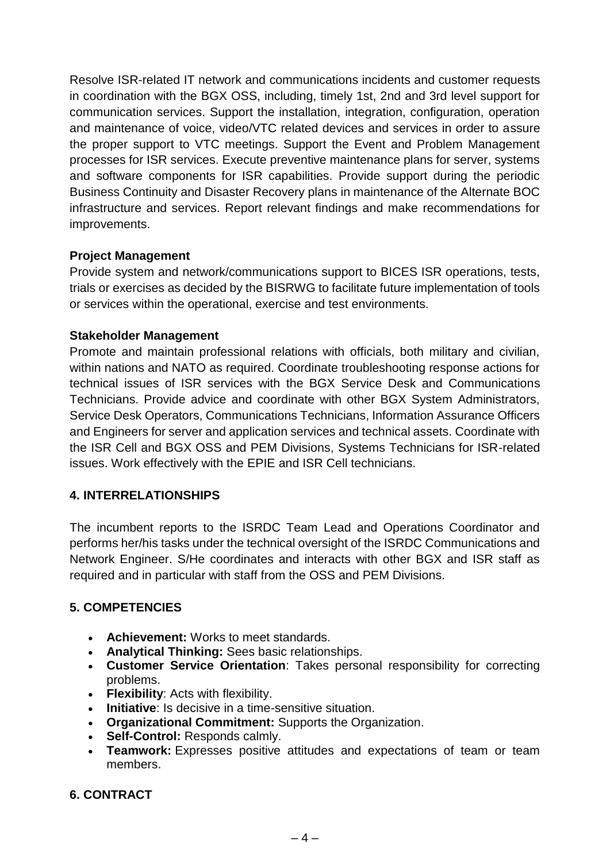Resolve ISR-related IT network and communications incidents and customer requests in coordination with the BGX OSS, including, timely 1st, 2nd and 3rd level support for communication services. Support the installation, integration, configuration, operation and maintenance of voice, video/VTC related devices and services in order to assure the proper support to VTC meetings. Support the Event and Problem Management processes for ISR services. Execute preventive maintenance plans for server, systems and software components for ISR capabilities. Provide support during the periodic Business Continuity and Disaster Recovery plans in maintenance of the Alternate BOC infrastructure and services. Report relevant findings and make recommendations for improvements.

#### **Project Management**

Provide system and network/communications support to BICES ISR operations, tests, trials or exercises as decided by the BISRWG to facilitate future implementation of tools or services within the operational, exercise and test environments.

#### **Stakeholder Management**

Promote and maintain professional relations with officials, both military and civilian, within nations and NATO as required. Coordinate troubleshooting response actions for technical issues of ISR services with the BGX Service Desk and Communications Technicians. Provide advice and coordinate with other BGX System Administrators, Service Desk Operators, Communications Technicians, Information Assurance Officers and Engineers for server and application services and technical assets. Coordinate with the ISR Cell and BGX OSS and PEM Divisions, Systems Technicians for ISR-related issues. Work effectively with the EPIE and ISR Cell technicians.

### **4. INTERRELATIONSHIPS**

The incumbent reports to the ISRDC Team Lead and Operations Coordinator and performs her/his tasks under the technical oversight of the ISRDC Communications and Network Engineer. S/He coordinates and interacts with other BGX and ISR staff as required and in particular with staff from the OSS and PEM Divisions.

### **5. COMPETENCIES**

- **Achievement:** Works to meet standards.
- **Analytical Thinking:** Sees basic relationships.
- **Customer Service Orientation**: Takes personal responsibility for correcting problems.
- **Flexibility**: Acts with flexibility.
- **Initiative**: Is decisive in a time-sensitive situation.
- **Organizational Commitment:** Supports the Organization.
- **Self-Control:** Responds calmly.
- **Teamwork:** Expresses positive attitudes and expectations of team or team members.

### **6. CONTRACT**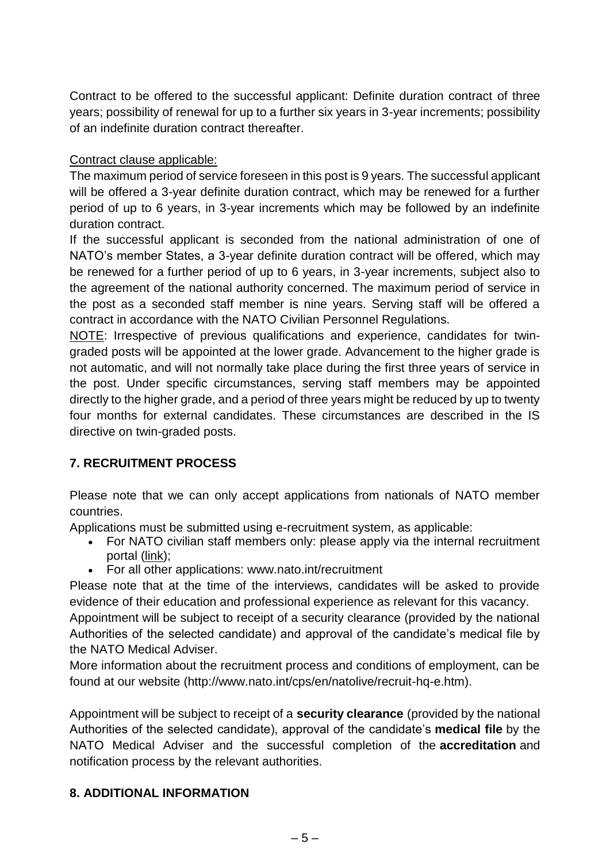Contract to be offered to the successful applicant: Definite duration contract of three years; possibility of renewal for up to a further six years in 3-year increments; possibility of an indefinite duration contract thereafter.

Contract clause applicable:

The maximum period of service foreseen in this post is 9 years. The successful applicant will be offered a 3-year definite duration contract, which may be renewed for a further period of up to 6 years, in 3-year increments which may be followed by an indefinite duration contract.

If the successful applicant is seconded from the national administration of one of NATO's member States, a 3-year definite duration contract will be offered, which may be renewed for a further period of up to 6 years, in 3-year increments, subject also to the agreement of the national authority concerned. The maximum period of service in the post as a seconded staff member is nine years. Serving staff will be offered a contract in accordance with the NATO Civilian Personnel Regulations.

NOTE: Irrespective of previous qualifications and experience, candidates for twingraded posts will be appointed at the lower grade. Advancement to the higher grade is not automatic, and will not normally take place during the first three years of service in the post. Under specific circumstances, serving staff members may be appointed directly to the higher grade, and a period of three years might be reduced by up to twenty four months for external candidates. These circumstances are described in the IS directive on twin-graded posts.

## **7. RECRUITMENT PROCESS**

Please note that we can only accept applications from nationals of NATO member countries.

Applications must be submitted using e-recruitment system, as applicable:

- For NATO civilian staff members only: please apply via the internal recruitment portal [\(link\)](https://nato.taleo.net/careersection/1/jobsearch.ftl?lang=en);
- For all other applications: www.nato.int/recruitment

Please note that at the time of the interviews, candidates will be asked to provide evidence of their education and professional experience as relevant for this vacancy.

Appointment will be subject to receipt of a security clearance (provided by the national Authorities of the selected candidate) and approval of the candidate's medical file by the NATO Medical Adviser.

More information about the recruitment process and conditions of employment, can be found at our website (http://www.nato.int/cps/en/natolive/recruit-hq-e.htm).

Appointment will be subject to receipt of a **security clearance** (provided by the national Authorities of the selected candidate), approval of the candidate's **medical file** by the NATO Medical Adviser and the successful completion of the **accreditation** and notification process by the relevant authorities.

## **8. ADDITIONAL INFORMATION**